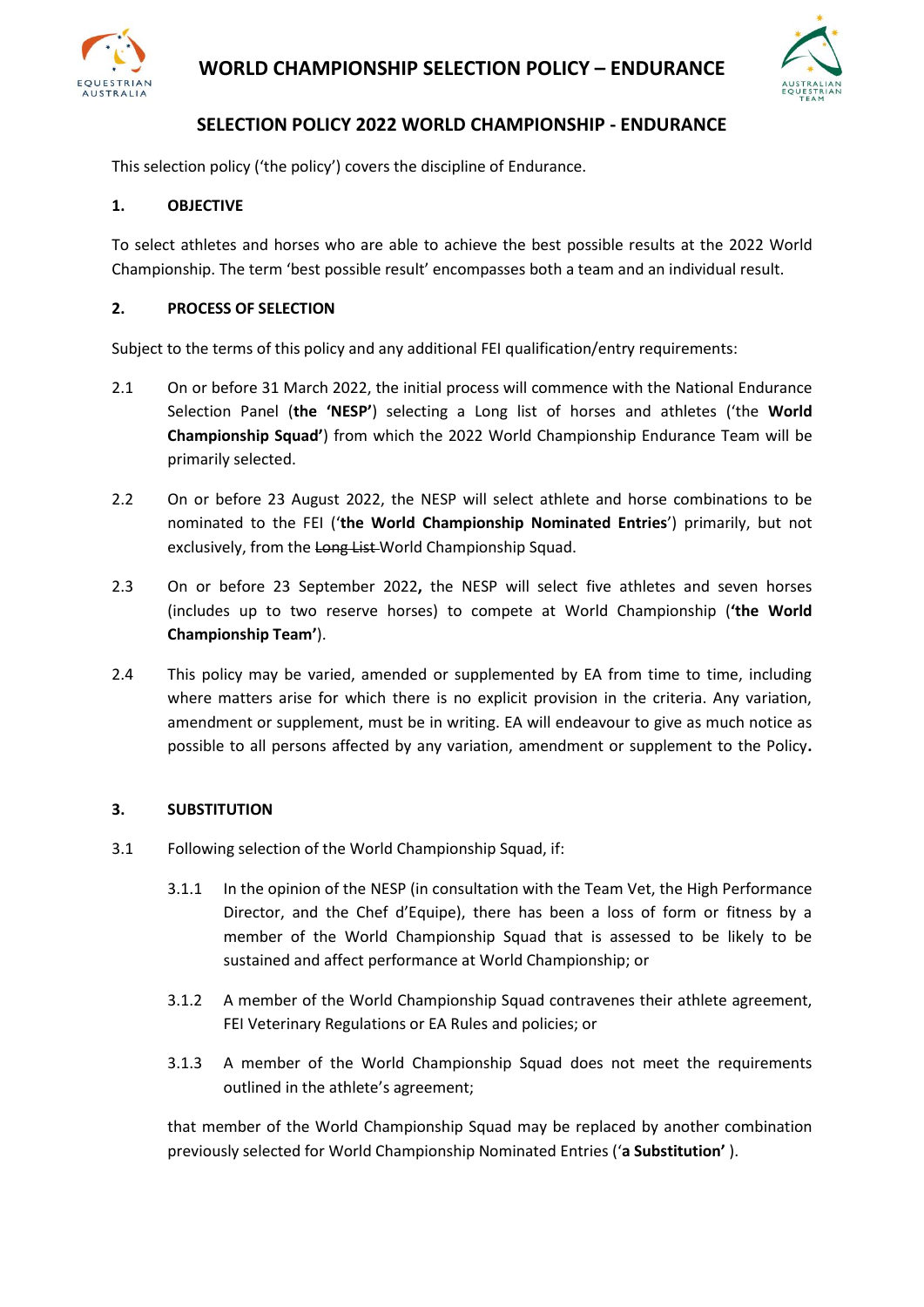



## **SELECTION POLICY 2022 WORLD CHAMPIONSHIP - ENDURANCE**

This selection policy ('the policy') covers the discipline of Endurance.

#### **1. OBJECTIVE**

To select athletes and horses who are able to achieve the best possible results at the 2022 World Championship. The term 'best possible result' encompasses both a team and an individual result.

#### **2. PROCESS OF SELECTION**

Subject to the terms of this policy and any additional FEI qualification/entry requirements:

- 2.1 On or before 31 March 2022, the initial process will commence with the National Endurance Selection Panel (**the 'NESP'**) selecting a Long list of horses and athletes ('the **World Championship Squad'**) from which the 2022 World Championship Endurance Team will be primarily selected.
- 2.2 On or before 23 August 2022, the NESP will select athlete and horse combinations to be nominated to the FEI ('**the World Championship Nominated Entries**') primarily, but not exclusively, from the Long List World Championship Squad.
- 2.3 On or before 23 September 2022**,** the NESP will select five athletes and seven horses (includes up to two reserve horses) to compete at World Championship (**'the World Championship Team'**).
- 2.4 This policy may be varied, amended or supplemented by EA from time to time, including where matters arise for which there is no explicit provision in the criteria. Any variation, amendment or supplement, must be in writing. EA will endeavour to give as much notice as possible to all persons affected by any variation, amendment or supplement to the Policy**.**

#### **3. SUBSTITUTION**

- 3.1 Following selection of the World Championship Squad, if:
	- 3.1.1 In the opinion of the NESP (in consultation with the Team Vet, the High Performance Director, and the Chef d'Equipe), there has been a loss of form or fitness by a member of the World Championship Squad that is assessed to be likely to be sustained and affect performance at World Championship; or
	- 3.1.2 A member of the World Championship Squad contravenes their athlete agreement, FEI Veterinary Regulations or EA Rules and policies; or
	- 3.1.3 A member of the World Championship Squad does not meet the requirements outlined in the athlete's agreement;

that member of the World Championship Squad may be replaced by another combination previously selected for World Championship Nominated Entries ('**a Substitution'** ).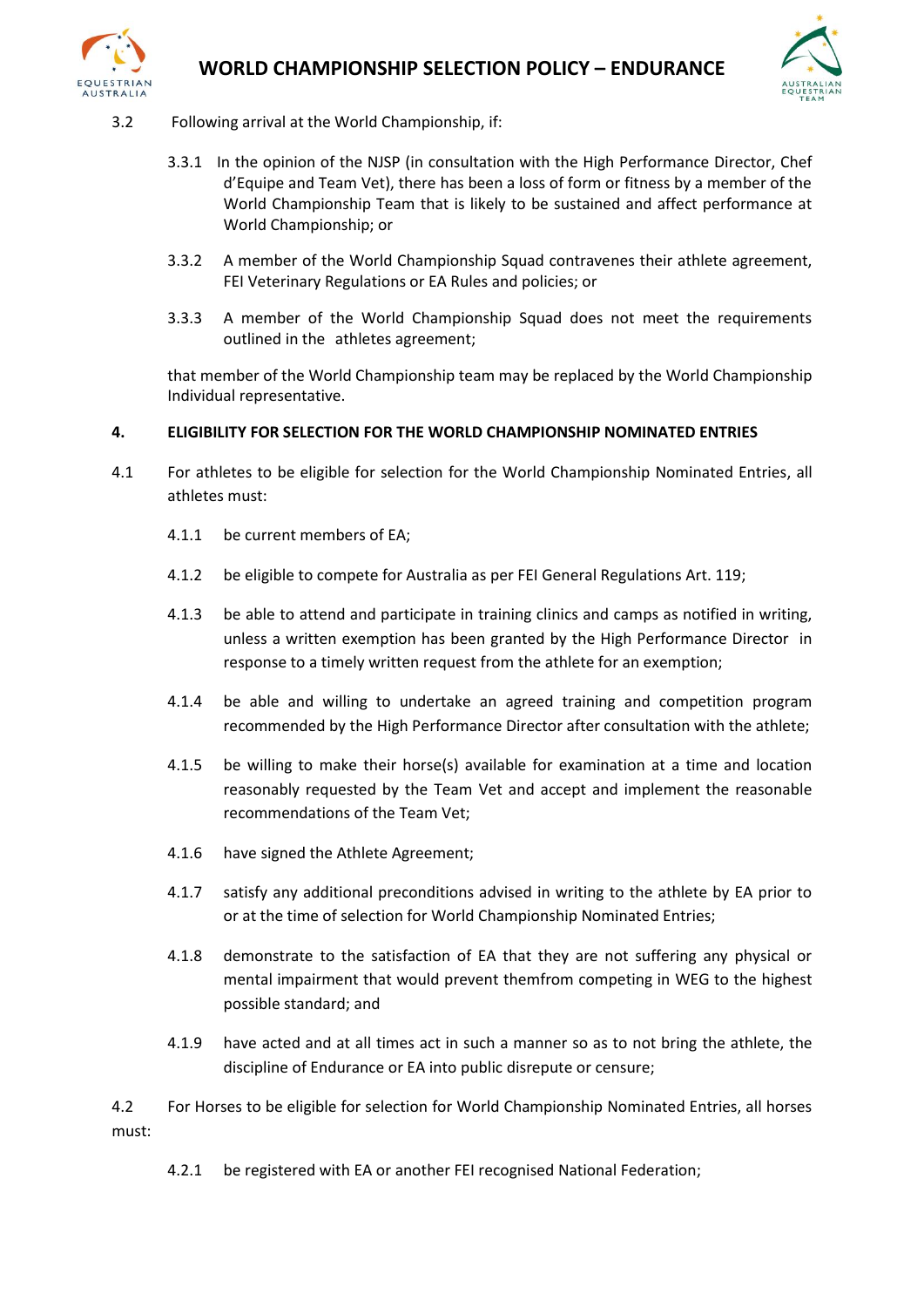



- 3.2 Following arrival at the World Championship, if:
	- 3.3.1 In the opinion of the NJSP (in consultation with the High Performance Director, Chef d'Equipe and Team Vet), there has been a loss of form or fitness by a member of the World Championship Team that is likely to be sustained and affect performance at World Championship; or
	- 3.3.2 A member of the World Championship Squad contravenes their athlete agreement, FEI Veterinary Regulations or EA Rules and policies; or
	- 3.3.3 A member of the World Championship Squad does not meet the requirements outlined in the athletes agreement;

that member of the World Championship team may be replaced by the World Championship Individual representative.

### **4. ELIGIBILITY FOR SELECTION FOR THE WORLD CHAMPIONSHIP NOMINATED ENTRIES**

- 4.1 For athletes to be eligible for selection for the World Championship Nominated Entries, all athletes must:
	- 4.1.1 be current members of EA;
	- 4.1.2 be eligible to compete for Australia as per FEI General Regulations Art. 119;
	- 4.1.3 be able to attend and participate in training clinics and camps as notified in writing, unless a written exemption has been granted by the High Performance Director in response to a timely written request from the athlete for an exemption;
	- 4.1.4 be able and willing to undertake an agreed training and competition program recommended by the High Performance Director after consultation with the athlete;
	- 4.1.5 be willing to make their horse(s) available for examination at a time and location reasonably requested by the Team Vet and accept and implement the reasonable recommendations of the Team Vet;
	- 4.1.6 have signed the Athlete Agreement;
	- 4.1.7 satisfy any additional preconditions advised in writing to the athlete by EA prior to or at the time of selection for World Championship Nominated Entries;
	- 4.1.8 demonstrate to the satisfaction of EA that they are not suffering any physical or mental impairment that would prevent themfrom competing in WEG to the highest possible standard; and
	- 4.1.9 have acted and at all times act in such a manner so as to not bring the athlete, the discipline of Endurance or EA into public disrepute or censure;

4.2 For Horses to be eligible for selection for World Championship Nominated Entries, all horses must:

4.2.1 be registered with EA or another FEI recognised National Federation;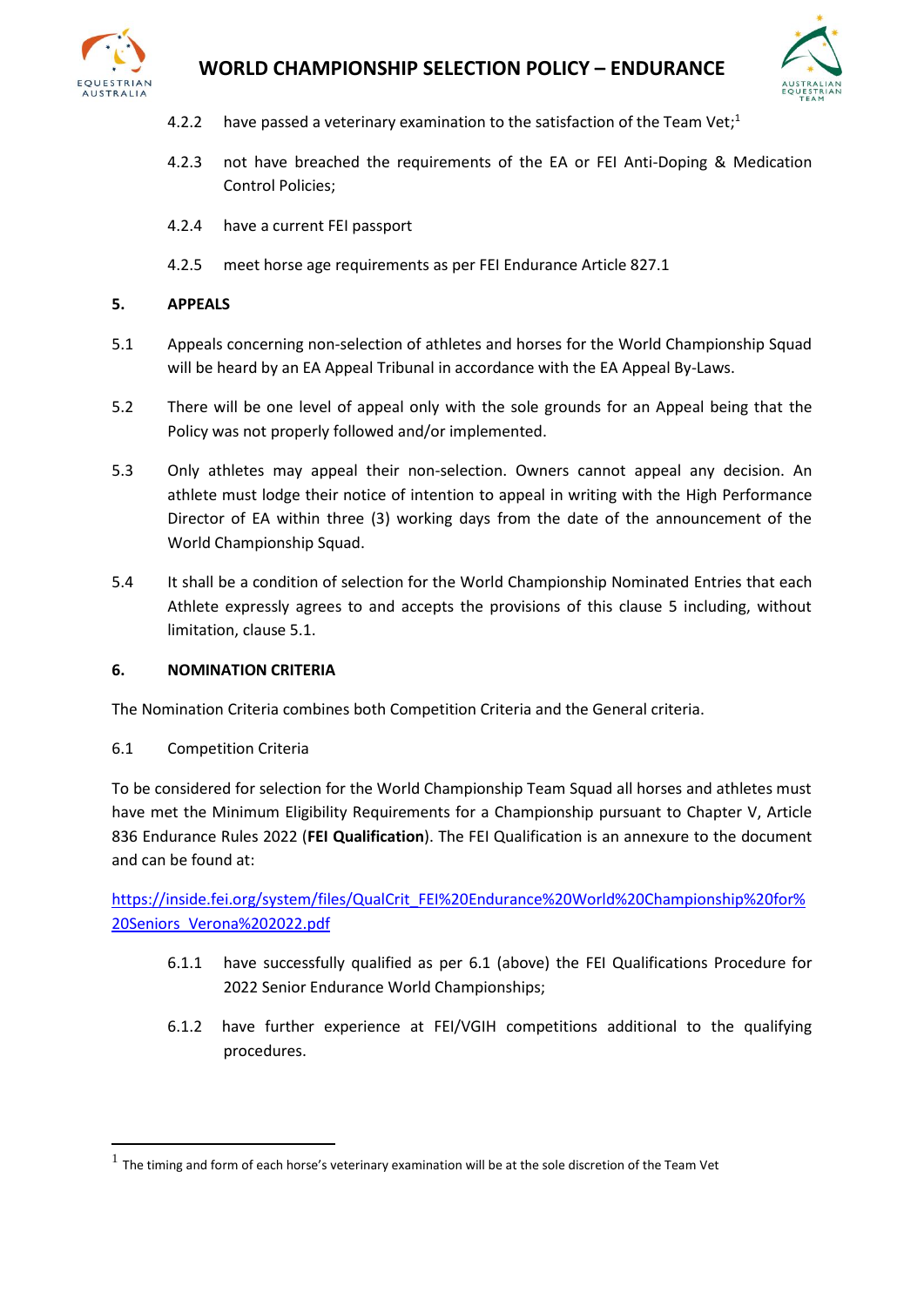



- 4.2.2 have passed a veterinary examination to the satisfaction of the Team Vet;<sup>1</sup>
- 4.2.3 not have breached the requirements of the EA or FEI Anti-Doping & Medication Control Policies;
- 4.2.4 have a current FEI passport
- 4.2.5 meet horse age requirements as per FEI Endurance Article 827.1

### **5. APPEALS**

- 5.1 Appeals concerning non-selection of athletes and horses for the World Championship Squad will be heard by an EA Appeal Tribunal in accordance with the EA Appeal By-Laws.
- 5.2 There will be one level of appeal only with the sole grounds for an Appeal being that the Policy was not properly followed and/or implemented.
- 5.3 Only athletes may appeal their non-selection. Owners cannot appeal any decision. An athlete must lodge their notice of intention to appeal in writing with the High Performance Director of EA within three (3) working days from the date of the announcement of the World Championship Squad.
- 5.4 It shall be a condition of selection for the World Championship Nominated Entries that each Athlete expressly agrees to and accepts the provisions of this clause 5 including, without limitation, clause 5.1.

### **6. NOMINATION CRITERIA**

The Nomination Criteria combines both Competition Criteria and the General criteria.

6.1 Competition Criteria

To be considered for selection for the World Championship Team Squad all horses and athletes must have met the Minimum Eligibility Requirements for a Championship pursuant to Chapter V, Article 836 Endurance Rules 2022 (**FEI Qualification**). The FEI Qualification is an annexure to the document and can be found at:

[https://inside.fei.org/system/files/QualCrit\\_FEI%20Endurance%20World%20Championship%20for%](https://inside.fei.org/system/files/QualCrit_FEI%20Endurance%20World%20Championship%20for%20Seniors_Verona%202022.pdf) [20Seniors\\_Verona%202022.pdf](https://inside.fei.org/system/files/QualCrit_FEI%20Endurance%20World%20Championship%20for%20Seniors_Verona%202022.pdf)

- 6.1.1 have successfully qualified as per 6.1 (above) the FEI Qualifications Procedure for 2022 Senior Endurance World Championships;
- 6.1.2 have further experience at FEI/VGIH competitions additional to the qualifying procedures.

 $<sup>1</sup>$  The timing and form of each horse's veterinary examination will be at the sole discretion of the Team Vet</sup>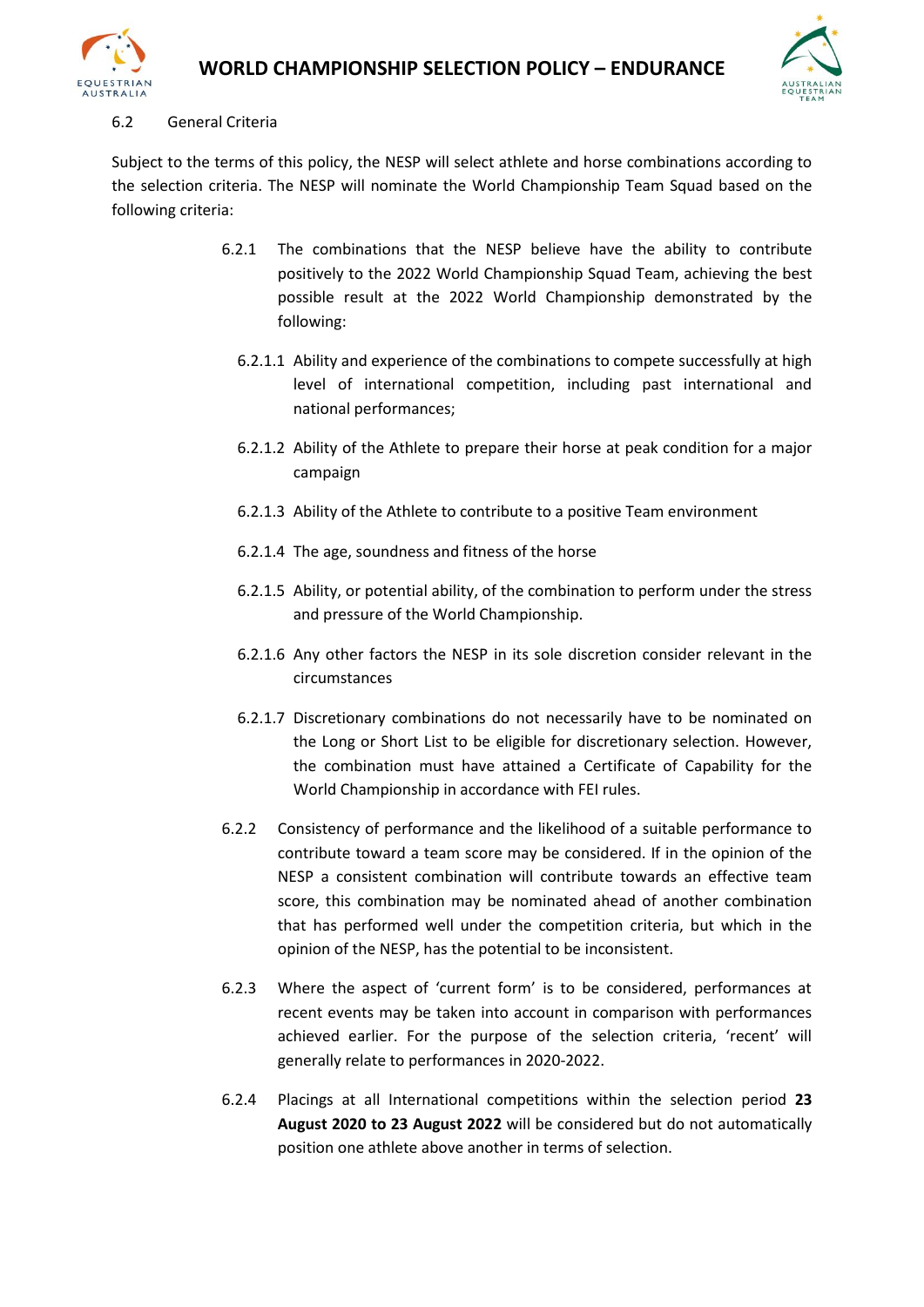



#### 6.2 General Criteria

Subject to the terms of this policy, the NESP will select athlete and horse combinations according to the selection criteria. The NESP will nominate the World Championship Team Squad based on the following criteria:

- 6.2.1 The combinations that the NESP believe have the ability to contribute positively to the 2022 World Championship Squad Team, achieving the best possible result at the 2022 World Championship demonstrated by the following:
	- 6.2.1.1 Ability and experience of the combinations to compete successfully at high level of international competition, including past international and national performances;
	- 6.2.1.2 Ability of the Athlete to prepare their horse at peak condition for a major campaign
	- 6.2.1.3 Ability of the Athlete to contribute to a positive Team environment
	- 6.2.1.4 The age, soundness and fitness of the horse
	- 6.2.1.5 Ability, or potential ability, of the combination to perform under the stress and pressure of the World Championship.
	- 6.2.1.6 Any other factors the NESP in its sole discretion consider relevant in the circumstances
	- 6.2.1.7 Discretionary combinations do not necessarily have to be nominated on the Long or Short List to be eligible for discretionary selection. However, the combination must have attained a Certificate of Capability for the World Championship in accordance with FEI rules.
- 6.2.2 Consistency of performance and the likelihood of a suitable performance to contribute toward a team score may be considered. If in the opinion of the NESP a consistent combination will contribute towards an effective team score, this combination may be nominated ahead of another combination that has performed well under the competition criteria, but which in the opinion of the NESP, has the potential to be inconsistent.
- 6.2.3 Where the aspect of 'current form' is to be considered, performances at recent events may be taken into account in comparison with performances achieved earlier. For the purpose of the selection criteria, 'recent' will generally relate to performances in 2020-2022.
- 6.2.4 Placings at all International competitions within the selection period **23 August 2020 to 23 August 2022** will be considered but do not automatically position one athlete above another in terms of selection.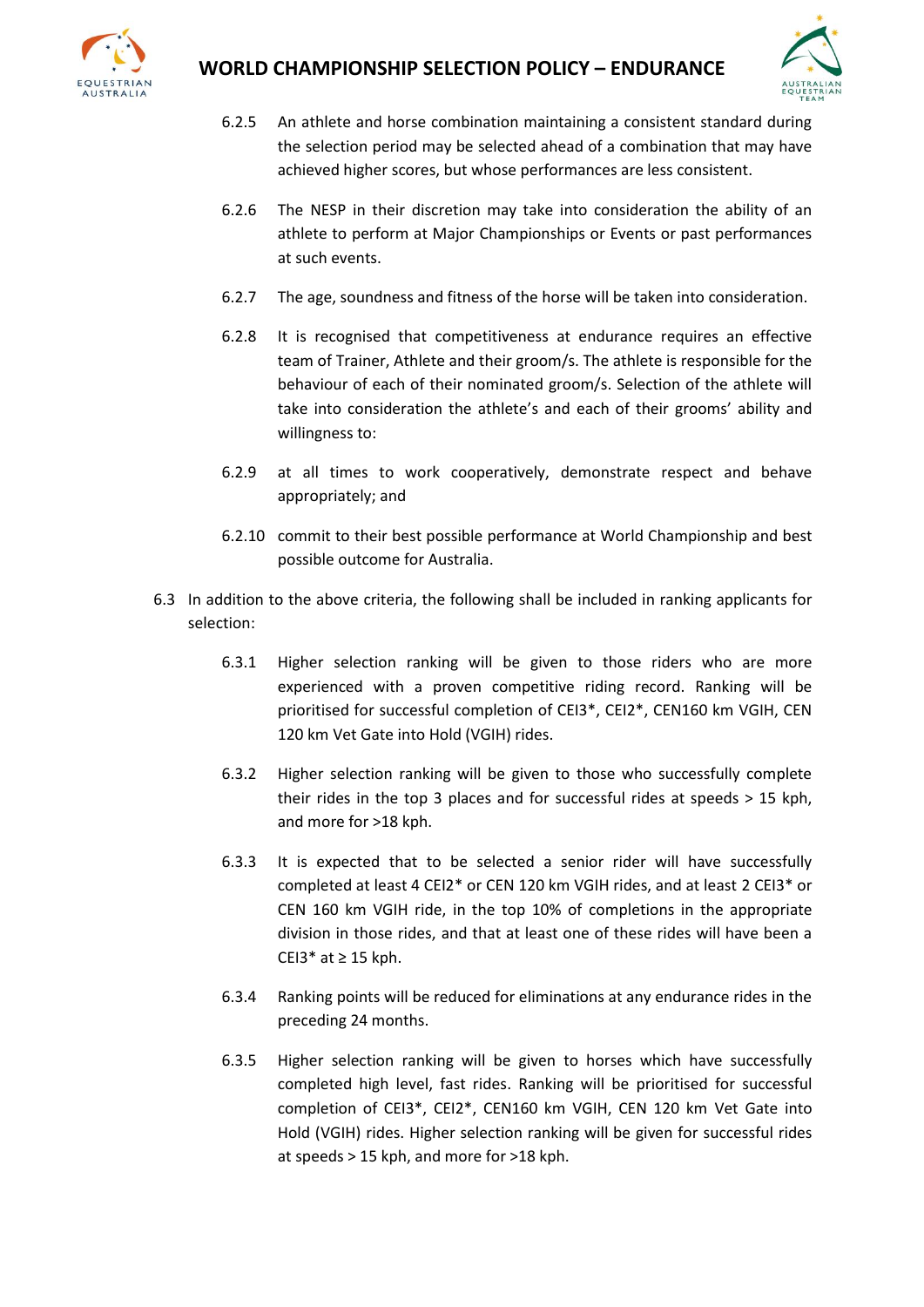



- 6.2.5 An athlete and horse combination maintaining a consistent standard during the selection period may be selected ahead of a combination that may have achieved higher scores, but whose performances are less consistent.
- 6.2.6 The NESP in their discretion may take into consideration the ability of an athlete to perform at Major Championships or Events or past performances at such events.
- 6.2.7 The age, soundness and fitness of the horse will be taken into consideration.
- 6.2.8 It is recognised that competitiveness at endurance requires an effective team of Trainer, Athlete and their groom/s. The athlete is responsible for the behaviour of each of their nominated groom/s. Selection of the athlete will take into consideration the athlete's and each of their grooms' ability and willingness to:
- 6.2.9 at all times to work cooperatively, demonstrate respect and behave appropriately; and
- 6.2.10 commit to their best possible performance at World Championship and best possible outcome for Australia.
- 6.3 In addition to the above criteria, the following shall be included in ranking applicants for selection:
	- 6.3.1 Higher selection ranking will be given to those riders who are more experienced with a proven competitive riding record. Ranking will be prioritised for successful completion of CEI3\*, CEI2\*, CEN160 km VGIH, CEN 120 km Vet Gate into Hold (VGIH) rides.
	- 6.3.2 Higher selection ranking will be given to those who successfully complete their rides in the top 3 places and for successful rides at speeds > 15 kph, and more for >18 kph.
	- 6.3.3 It is expected that to be selected a senior rider will have successfully completed at least 4 CEI2\* or CEN 120 km VGIH rides, and at least 2 CEI3\* or CEN 160 km VGIH ride, in the top 10% of completions in the appropriate division in those rides, and that at least one of these rides will have been a CEI3 $*$  at  $\geq$  15 kph.
	- 6.3.4 Ranking points will be reduced for eliminations at any endurance rides in the preceding 24 months.
	- 6.3.5 Higher selection ranking will be given to horses which have successfully completed high level, fast rides. Ranking will be prioritised for successful completion of CEI3\*, CEI2\*, CEN160 km VGIH, CEN 120 km Vet Gate into Hold (VGIH) rides. Higher selection ranking will be given for successful rides at speeds > 15 kph, and more for >18 kph.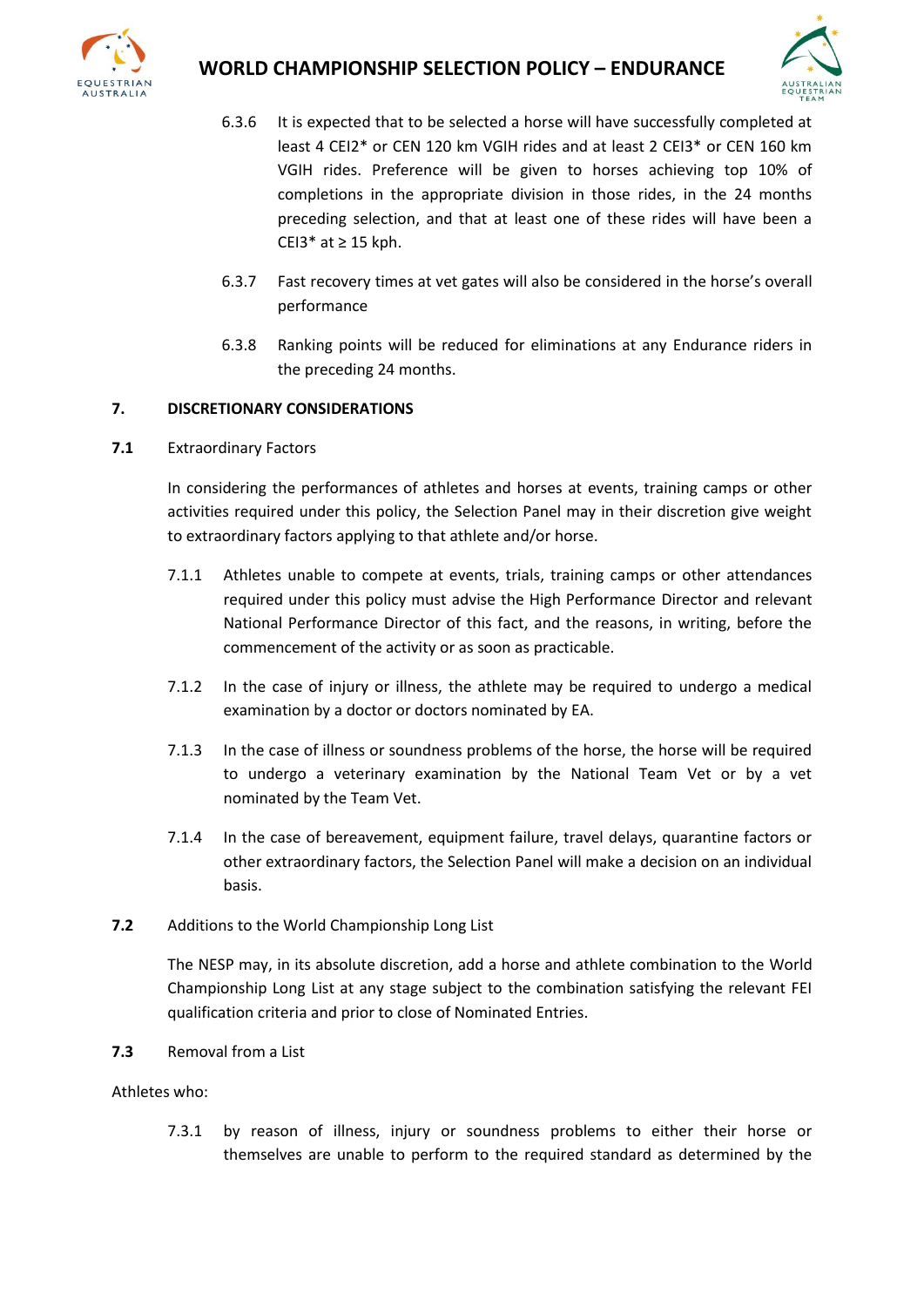

## **WORLD CHAMPIONSHIP SELECTION POLICY – ENDURANCE**



- 6.3.6 It is expected that to be selected a horse will have successfully completed at least 4 CEI2\* or CEN 120 km VGIH rides and at least 2 CEI3\* or CEN 160 km VGIH rides. Preference will be given to horses achieving top 10% of completions in the appropriate division in those rides, in the 24 months preceding selection, and that at least one of these rides will have been a CEI3 $*$  at  $\geq$  15 kph.
- 6.3.7 Fast recovery times at vet gates will also be considered in the horse's overall performance
- 6.3.8 Ranking points will be reduced for eliminations at any Endurance riders in the preceding 24 months.

### **7. DISCRETIONARY CONSIDERATIONS**

**7.1** Extraordinary Factors

In considering the performances of athletes and horses at events, training camps or other activities required under this policy, the Selection Panel may in their discretion give weight to extraordinary factors applying to that athlete and/or horse.

- 7.1.1 Athletes unable to compete at events, trials, training camps or other attendances required under this policy must advise the High Performance Director and relevant National Performance Director of this fact, and the reasons, in writing, before the commencement of the activity or as soon as practicable.
- 7.1.2 In the case of injury or illness, the athlete may be required to undergo a medical examination by a doctor or doctors nominated by EA.
- 7.1.3 In the case of illness or soundness problems of the horse, the horse will be required to undergo a veterinary examination by the National Team Vet or by a vet nominated by the Team Vet.
- 7.1.4 In the case of bereavement, equipment failure, travel delays, quarantine factors or other extraordinary factors, the Selection Panel will make a decision on an individual basis.
- **7.2** Additions to the World Championship Long List

The NESP may, in its absolute discretion, add a horse and athlete combination to the World Championship Long List at any stage subject to the combination satisfying the relevant FEI qualification criteria and prior to close of Nominated Entries.

**7.3** Removal from a List

Athletes who:

7.3.1 by reason of illness, injury or soundness problems to either their horse or themselves are unable to perform to the required standard as determined by the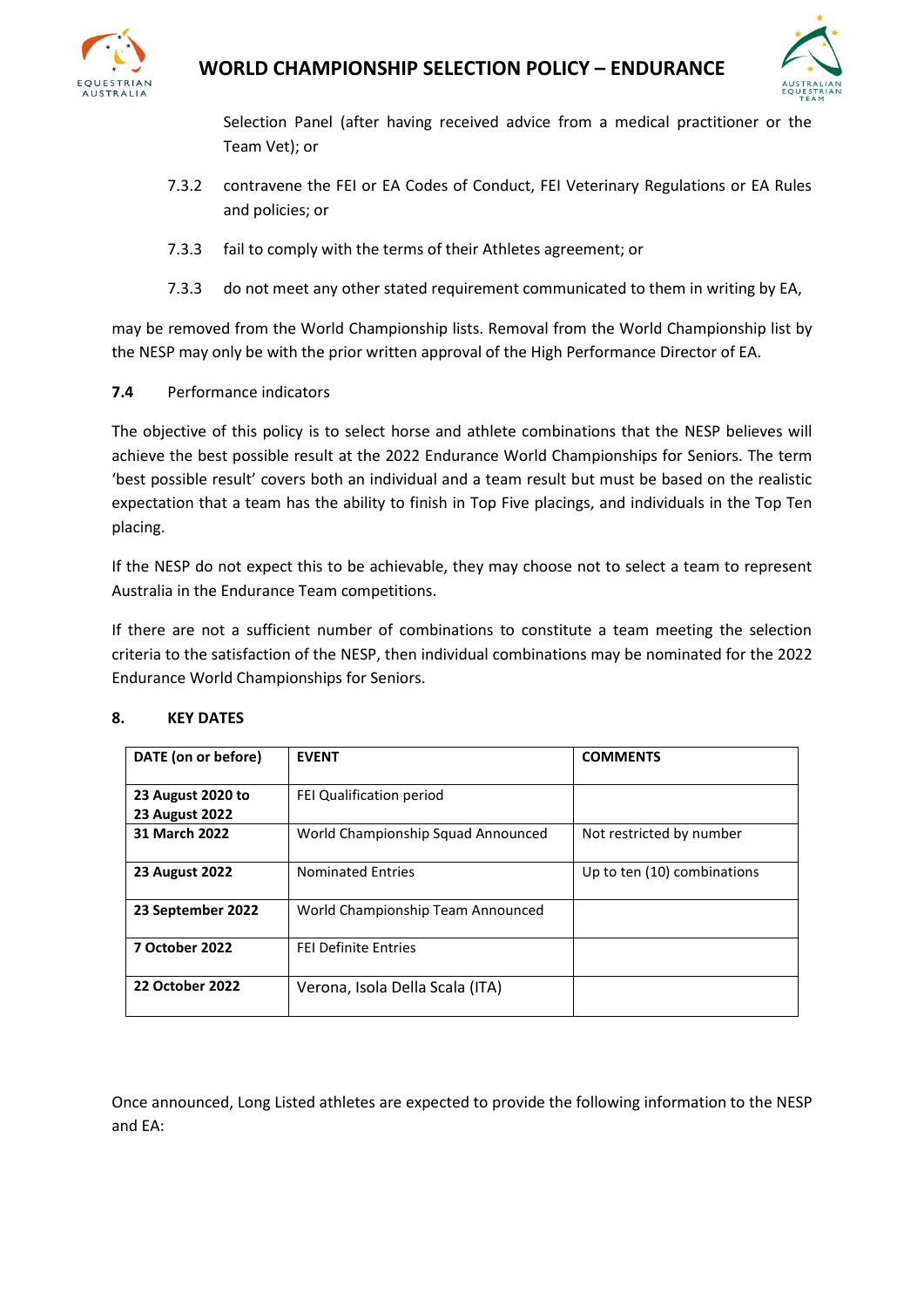



Selection Panel (after having received advice from a medical practitioner or the Team Vet); or

- 7.3.2 contravene the FEI or EA Codes of Conduct, FEI Veterinary Regulations or EA Rules and policies; or
- 7.3.3 fail to comply with the terms of their Athletes agreement; or
- 7.3.3 do not meet any other stated requirement communicated to them in writing by EA,

may be removed from the World Championship lists. Removal from the World Championship list by the NESP may only be with the prior written approval of the High Performance Director of EA.

**7.4** Performance indicators

The objective of this policy is to select horse and athlete combinations that the NESP believes will achieve the best possible result at the 2022 Endurance World Championships for Seniors. The term 'best possible result' covers both an individual and a team result but must be based on the realistic expectation that a team has the ability to finish in Top Five placings, and individuals in the Top Ten placing.

If the NESP do not expect this to be achievable, they may choose not to select a team to represent Australia in the Endurance Team competitions.

If there are not a sufficient number of combinations to constitute a team meeting the selection criteria to the satisfaction of the NESP, then individual combinations may be nominated for the 2022 Endurance World Championships for Seniors.

| DATE (on or before)                        | <b>EVENT</b>                       | <b>COMMENTS</b>             |
|--------------------------------------------|------------------------------------|-----------------------------|
| 23 August 2020 to<br><b>23 August 2022</b> | FEI Qualification period           |                             |
| 31 March 2022                              | World Championship Squad Announced | Not restricted by number    |
| <b>23 August 2022</b>                      | <b>Nominated Entries</b>           | Up to ten (10) combinations |
| 23 September 2022                          | World Championship Team Announced  |                             |
| <b>7 October 2022</b>                      | <b>FEI Definite Entries</b>        |                             |
| <b>22 October 2022</b>                     | Verona, Isola Della Scala (ITA)    |                             |

### **8. KEY DATES**

Once announced, Long Listed athletes are expected to provide the following information to the NESP and EA: